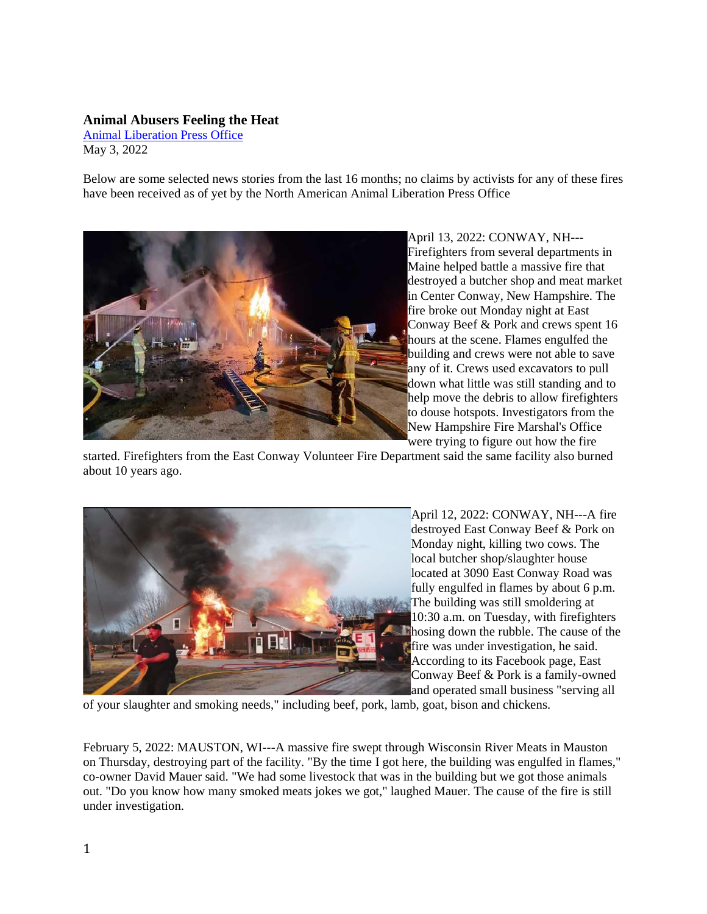## **Animal Abusers Feeling the Heat**

[Animal Liberation Press Office](https://animalliberationpressoffice.org/NAALPO/) May 3, 2022

Below are some selected news stories from the last 16 months; no claims by activists for any of these fires have been received as of yet by the North American Animal Liberation Press Office



April 13, 2022: CONWAY, NH--- Firefighters from several departments in Maine helped battle a massive fire that destroyed a butcher shop and meat market in Center Conway, New Hampshire. The fire broke out Monday night at East Conway Beef & Pork and crews spent 16 hours at the scene. Flames engulfed the building and crews were not able to save any of it. Crews used excavators to pull down what little was still standing and to help move the debris to allow firefighters to douse hotspots. Investigators from the New Hampshire Fire Marshal's Office were trying to figure out how the fire

started. Firefighters from the East Conway Volunteer Fire Department said the same facility also burned about 10 years ago.



April 12, 2022: CONWAY, NH---A fire destroyed East Conway Beef & Pork on Monday night, killing two cows. The local butcher shop/slaughter house located at 3090 East Conway Road was fully engulfed in flames by about 6 p.m. The building was still smoldering at 10:30 a.m. on Tuesday, with firefighters hosing down the rubble. The cause of the fire was under investigation, he said. According to its Facebook page, East Conway Beef & Pork is a family-owned and operated small business "serving all

of your slaughter and smoking needs," including beef, pork, lamb, goat, bison and chickens.

February 5, 2022: MAUSTON, WI---A massive fire swept through Wisconsin River Meats in Mauston on Thursday, destroying part of the facility. "By the time I got here, the building was engulfed in flames," co-owner David Mauer said. "We had some livestock that was in the building but we got those animals out. "Do you know how many smoked meats jokes we got," laughed Mauer. The cause of the fire is still under investigation.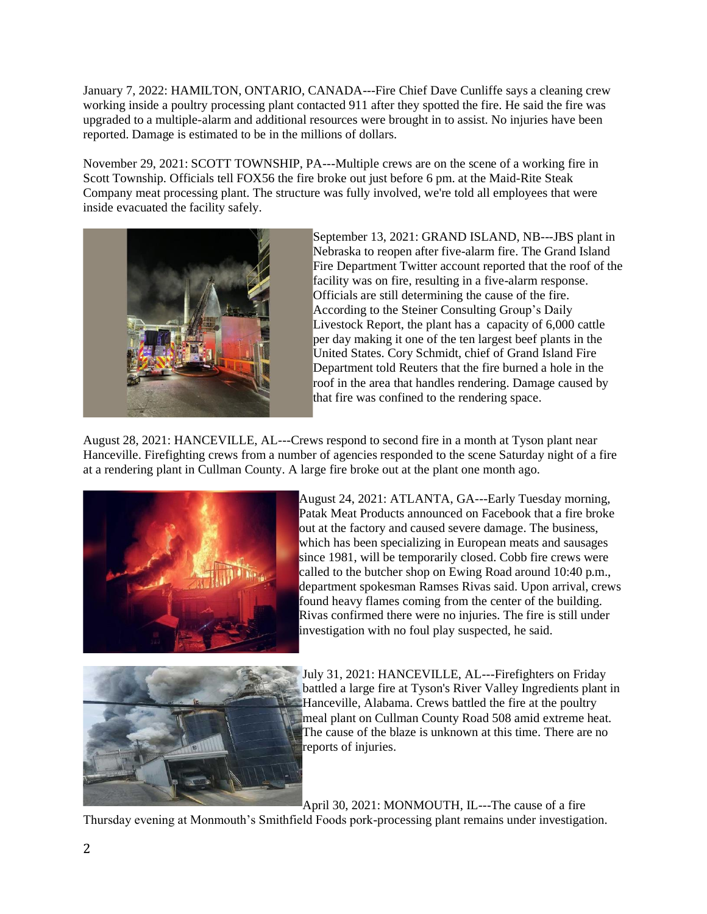January 7, 2022: HAMILTON, ONTARIO, CANADA---Fire Chief Dave Cunliffe says a cleaning crew working inside a poultry processing plant contacted 911 after they spotted the fire. He said the fire was upgraded to a multiple-alarm and additional resources were brought in to assist. No injuries have been reported. Damage is estimated to be in the millions of dollars.

November 29, 2021: SCOTT TOWNSHIP, PA---Multiple crews are on the scene of a working fire in Scott Township. Officials tell FOX56 the fire broke out just before 6 pm. at the Maid-Rite Steak Company meat processing plant. The structure was fully involved, we're told all employees that were inside evacuated the facility safely.



September 13, 2021: GRAND ISLAND, NB---JBS plant in Nebraska to reopen after five-alarm fire. The Grand Island Fire Department Twitter account reported that the roof of the facility was on fire, resulting in a five-alarm response. Officials are still determining the cause of the fire. According to the Steiner Consulting Group's Daily Livestock Report, the plant has a capacity of 6,000 cattle per day making it one of the ten largest beef plants in the United States. Cory Schmidt, chief of Grand Island Fire Department told Reuters that the fire burned a hole in the roof in the area that handles rendering. Damage caused by that fire was confined to the rendering space.

August 28, 2021: HANCEVILLE, AL---Crews respond to second fire in a month at Tyson plant near Hanceville. Firefighting crews from a number of agencies responded to the scene Saturday night of a fire at a rendering plant in Cullman County. A large fire broke out at the plant one month ago.



August 24, 2021: ATLANTA, GA---Early Tuesday morning, Patak Meat Products announced on Facebook that a fire broke out at the factory and caused severe damage. The business, which has been specializing in European meats and sausages since 1981, will be temporarily closed. Cobb fire crews were called to the butcher shop on Ewing Road around 10:40 p.m., department spokesman Ramses Rivas said. Upon arrival, crews found heavy flames coming from the center of the building. Rivas confirmed there were no injuries. The fire is still under investigation with no foul play suspected, he said.



July 31, 2021: HANCEVILLE, AL---Firefighters on Friday battled a large fire at Tyson's River Valley Ingredients plant in Hanceville, Alabama. Crews battled the fire at the poultry meal plant on Cullman County Road 508 amid extreme heat. The cause of the blaze is unknown at this time. There are no reports of injuries.

April 30, 2021: MONMOUTH, IL---The cause of a fire

Thursday evening at Monmouth's Smithfield Foods pork-processing plant remains under investigation.